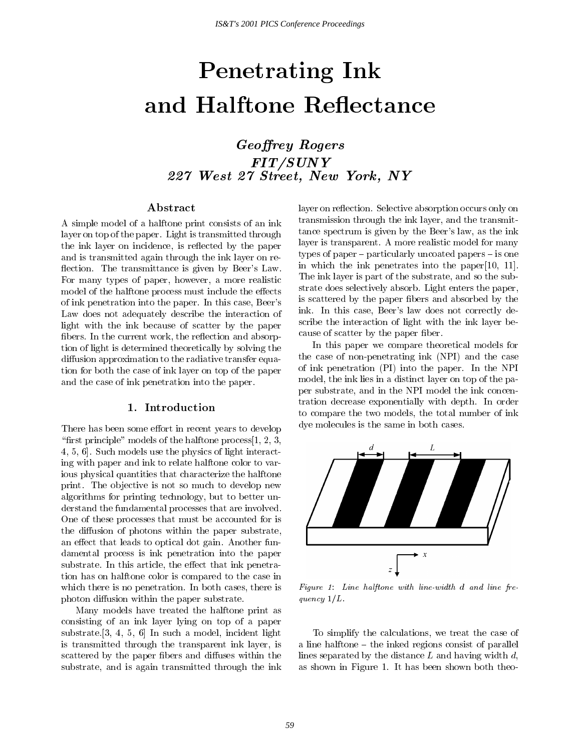# Penetrating Ink

Georey Rogers FIT/SUNY227 West <sup>27</sup> Street, New York, NY

## Abstract

A simple model of a halftone print consists of an ink layer on top of the paper. Light is transmitted through the ink layer on incidence, is reflected by the paper and is transmitted again through the ink layer on re flection. The transmittance is given by Beer's Law. For many types of paper, however, a more realistic model of the halftone process must include the effects of ink penetration into the paper. In this case, Beer's Law does not adequately describe the interaction of light with the ink because of scatter by the paper fibers. In the current work, the reflection and absorption of light is determined theoretically by solving the diffusion approximation to the radiative transfer equation for both the case of ink layer on top of the paper and the case of ink penetration into the paper.

#### 1. Introduction

There has been some effort in recent years to develop "first principle" models of the halftone process $[1, 2, 3, 4]$ 4, 5, 6]. Such models use the physics of light interacting with paper and ink to relate halftone color to various physical quantities that characterize the halftone print. The ob jective is not so much to develop new algorithms for printing technology, but to better understand the fundamental processes that are involved. One of these processes that must be accounted for is the diffusion of photons within the paper substrate, an effect that leads to optical dot gain. Another fundamental process is ink penetration into the paper substrate. In this article, the effect that ink penetration has on halftone color is compared to the case in which there is no penetration. In both cases, there is photon diffusion within the paper substrate.

Many models have treated the halftone print as consisting of an ink layer lying on top of a paper substrate.[3, 4, 5, 6] In such a model, incident light is transmitted through the transparent ink layer, is scattered by the paper fibers and diffuses within the substrate, and is again transmitted through the ink layer on reflection. Selective absorption occurs only on transmission through the ink layer, and the transmittance spectrum is given by the Beer's law, as the ink layer is transparent. A more realistic model for many types of paper  $-$  particularly uncoated papers  $-$  is one in which the ink penetrates into the paper[10, 11]. The ink layer is part of the substrate, and so the substrate does selectively absorb. Light enters the paper, is scattered by the paper fibers and absorbed by the ink. In this case, Beer's law does not correctly describe the interaction of light with the ink layer because of scatter by the paper fiber.

In this paper we compare theoretical models for the case of non-penetrating ink (NPI) and the case of ink penetration (PI) into the paper. In the NPI model, the ink lies in a distinct layer on top of the paper substrate, and in the NPI model the ink concentration decrease exponentially with depth. In order to compare the two models, the total number of ink dye molecules is the same in both cases.



Figure 1: Line halftone with line-width <sup>d</sup> and line fre quency  $1/L$ .

To simplify the calculations, we treat the case of a line halftone  $-$  the inked regions consist of parallel lines separated by the distance  $L$  and having width  $d$ , as shown in Figure 1. It has been shown both theo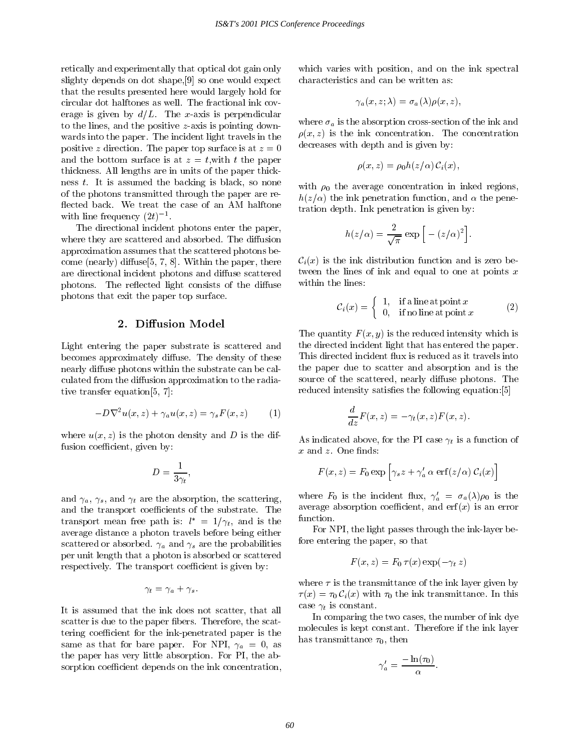retically and experimentally that optical dot gain only slighty depends on dot shape,[9] so one would expect that the results presented here would largely hold for circular dot halftones as well. The fractional ink cov erage is given by  $d/L$ . The x-axis is perpendicular to the lines, and the positive z-axis is pointing down wards into the paper. The incident light travels in the positive z direction. The paper top surface is at  $z = 0$ and the bottom surface is at  $z = t$ , with t the paper thickness. All lengths are in units of the paper thickness t. It is assumed the backing is black, so none of the photons transmitted through the paper are re flected back. We treat the case of an AM halftone with line frequency  $(2t)$ .

The directional incident photons enter the paper, where they are scattered and absorbed. The diffusion approximation assumes that the scattered photons become (nearly) diffuse  $[5, 7, 8]$ . Within the paper, there are directional incident photons and diffuse scattered photons. The reflected light consists of the diffuse photons that exit the paper top surface.

## 2. Diffusion Model

Light entering the paper substrate is scattered and becomes approximately diffuse. The density of these nearly diffuse photons within the substrate can be calculated from the diffusion approximation to the radiative transfer equation[5, 7]:

$$
-D\nabla^2 u(x,z) + \gamma_a u(x,z) = \gamma_s F(x,z) \tag{1}
$$

where  $u(x, z)$  is the photon density and D is the diffusion coefficient, given by:

$$
D=\frac{1}{3\gamma_t},
$$

and  $\gamma_a$ ,  $\gamma_s$ , and  $\gamma_t$  are the absorption, the scattering, and the transport coefficients of the substrate. The transport mean free path is:  $l^* = 1/\gamma_t$ , and is the function. average distance a photon travels before being either scattered or absorbed.  $\gamma_a$  and  $\gamma_s$  are the probabilities per unit length that a photon is absorbed or scattered respectively. The transport coefficient is given by:

$$
\gamma_t = \gamma_a + \gamma_s.
$$

It is assumed that the ink does not scatter, that all scatter is due to the paper fibers. Therefore, the scattering coefficient for the ink-penetrated paper is the same as that for bare paper. For NPI,  $\gamma_a = 0$ , as the paper has very little absorption. For PI, the absorption coefficient depends on the ink concentration,

which varies with position, and on the ink spectral characteristics and can be written as:

$$
\gamma_a(x,z;\lambda)=\sigma_a(\lambda)\rho(x,z),
$$

where  $\sigma_a$  is the absorption cross-section of the ink and  $\rho(x, z)$  is the ink concentration. The concentration decreases with depth and is given by:

$$
\rho(x, z) = \rho_0 h(z/\alpha) \, \mathcal{C}_i(x),
$$

with  $\rho_0$  the average concentration in inked regions,  $h(z/\alpha)$  the ink penetration function, and  $\alpha$  the penetration depth. Ink penetration is given by:

$$
h(z/\alpha) = \frac{2}{\sqrt{\pi}} \exp \left[ - (z/\alpha)^2 \right].
$$

 $C_i(x)$  is the ink distribution function and is zero between the lines of ink and equal to one at points  $x$ within the lines:

$$
\mathcal{C}_i(x) = \begin{cases} 1, & \text{if a line at point } x \\ 0, & \text{if no line at point } x \end{cases}
$$
 (2)

The quantity  $F(x, y)$  is the reduced intensity which is the directed incident light that has entered the paper. This directed incident flux is reduced as it travels into the paper due to scatter and absorption and is the source of the scattered, nearly diffuse photons. The reduced intensity satisfies the following equation: [5]

$$
\frac{d}{dz}F(x,z) = -\gamma_t(x,z)F(x,z).
$$

As indicated above, for the PI case  $\gamma_t$  is a function of  $x$  and  $z$ . One finds:

$$
F(x, z) = F_0 \exp \left[ \gamma_s z + \gamma_a' \alpha \, \text{erf}(z/\alpha) \, \mathcal{C}_i(x) \right]
$$

where  $F_0$  is the incident flux,  $\gamma_a' = \sigma_a(\lambda)\rho_0$  is the average absorption coefficient, and  $erf(x)$  is an error

For NPI, the light passes through the ink-layer before entering the paper, so that

$$
F(x, z) = F_0 \tau(x) \exp(-\gamma_t z)
$$

where  $\tau$  is the transmittance of the ink layer given by  $\tau(x) = \tau_0 \mathcal{C}_i(x)$  with  $\tau_0$  the ink transmittance. In this case  $\gamma_t$  is constant.

In comparing the two cases, the number of ink dye molecules is kept constant. Therefore if the ink layer has transmittance  $\tau_0$ , then

$$
\gamma_a' = \frac{-\ln(\tau_0)}{\alpha}.
$$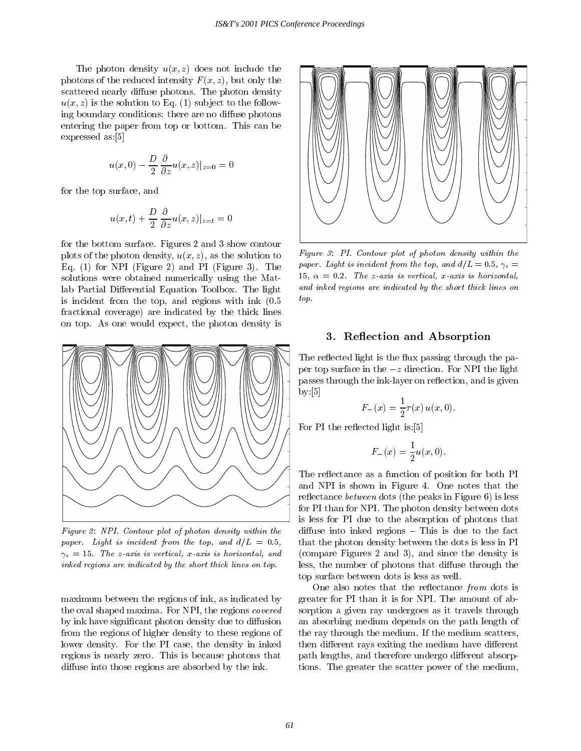The photon density  $u(x, z)$  does not include the photons of the reduced intensity  $F(x, z)$ , but only the scattered nearly diffuse photons. The photon density  $u(x, z)$  is the solution to Eq. (1) subject to the following boundary conditions: there are no diffuse photons entering the paper from top or bottom. This can be expressed as:[5]

$$
u(x,0)-\frac{D}{2}\frac{\partial}{\partial z}u(x,z)|_{z=0}=0
$$

for the top surface, and

$$
u(x,t) + \frac{D}{2} \frac{\partial}{\partial z} u(x,z)|_{z=t} = 0
$$

for the bottom surface. Figures 2 and 3 show contour plots of the photon density,  $u(x, z)$ , as the solution to Eq. (1) for NPI (Figure 2) and PI(Figure 3). The solutions were obtained numerically using the Matlab Partial Differential Equation Toolbox. The light is incident from the top, and regions with ink  $(0.5)$ fractional coverage) are indicated by the thick lines on top. As one would expect, the photon density is



Figure 2: NPI. Contour plot of photon density within the paper. Light is incident from the top, and  $d/L = 0.5$ ,  $\gamma_s = 15$ . The z-axis is vertical, x-axis is horizontal, and inked regions are indicated by the short thick lines on top.

maximum between the regions of ink, as indicated by the oval shaped maxima. For NPI, the regions covered by ink have significant photon density due to diffusion from the regions of higher density to these regions of lower density. For the PI case, the density in inked regions is nearly zero. This is because photons that diffuse into those regions are absorbed by the ink.



Figure 3: PI. Contour plot of photon density within the paper. Light is incident from the top, and  $d/L = 0.5$ ,  $\gamma_s =$ 15,  $\alpha = 0.2$ . The z-axis is vertical, x-axis is horizontal, and inked regions are indicated by the short thick lines on top.

#### 3. Reflection and Absorption

The reflected light is the flux passing through the paper top surface in the  $-z$  direction. For NPI the light passes through the ink-layer on reflection, and is given by:[5]

$$
F_{-}(x) = \frac{1}{2}\tau(x) u(x,0).
$$

For PI the reflected light is: [5]

$$
F_{-}(x) = \frac{1}{2}u(x,0).
$$

The reflectance as a function of position for both PI and NPI is shown in Figure 4. One notes that the reflectance *between* dots (the peaks in Figure 6) is less for PI than for NPI. The photon density between dots is less for PI due to the absorption of photons that diffuse into inked regions  $-$  This is due to the fact that the photon density between the dots is less in PI (compare Figures 2 and 3), and since the density is less, the number of photons that diffuse through the top surface between dots is less as well.

One also notes that the reflectance from dots is greater for PI than it is for NPI. The amount of absorption a given ray undergoes as it travels through an absorbing medium depends on the path length of the ray through the medium. If the medium scatters, then different rays exiting the medium have different path lengths, and therefore undergo different absorptions. The greater the scatter power of the medium,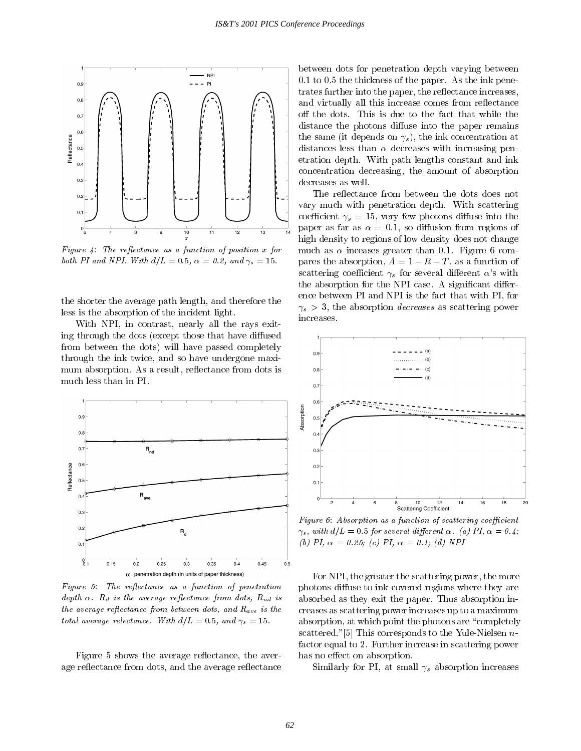

Figure 4: The reflectance as a function of position  $x$  for both PI and NPI. With  $d/L = 0.5$ ,  $\alpha = 0.2$ , and  $\gamma_s = 15$ .

the shorter the average path length, and therefore the less is the absorption of the incident light.

With NPI, in contrast, nearly all the rays exiting through the dots (except those that have diffused from between the dots) will have passed completely through the ink twice, and so have undergone maxi mum absorption. As a result, reflectance from dots is much less than in PI.



Figure 5: The reflectance as a function of penetration depth  $\alpha$ .  $R_d$  is the average reflectance from dots,  $R_{nd}$  is the average reflectance from between dots, and  $R_{ave}$  is the total average relectance. With  $d/L = 0.5$ , and  $\gamma_s = 15$ .

Figure 5 shows the average reflectance, the average reflectance from dots, and the average reflectance between dots for penetration depth varying between 0.1 to 0.5 the thickness of the paper. As the ink penetrates further into the paper, the reflectance increases, and virtually all this increase comes from reflectance off the dots. This is due to the fact that while the distance the photons diffuse into the paper remains the same (it depends on  $\gamma_s$ ), the ink concentration at distances less than  $\alpha$  decreases with increasing penetration depth. With path lengths constant and ink concentration decreasing, the amount of absorption decreases as well.

The reflectance from between the dots does not vary much with penetration depth. With scattering coefficient  $\gamma_s = 15$ , very few photons diffuse into the paper as far as  $\alpha = 0.1$ , so diffusion from regions of high density to regions of low density does not change much as  $\alpha$  inceases greater than 0.1. Figure 6 compares the absorption,  $A = 1 - R - T$ , as a function of scattering coefficient  $\gamma_s$  for several different  $\alpha$ 's with the absorption for the NPI case. A significant difference between PI and NPI is the fact that with PI, for  $\gamma_s > 3$ , the absorption *decreases* as scattering power increases.



Figure 6: Absorption as a function of scattering coefficient  $\gamma_s$ , with  $d/L = 0.5$  for several different  $\alpha$ . (a) PI,  $\alpha = 0.4$ ; (b) PI,  $\alpha = 0.25$ ; (c) PI,  $\alpha = 0.1$ ; (d) NPI

For NPI, the greater the scattering power, the more photons diffuse to ink covered regions where they are absorbed as they exit the paper. Thus absorption increases as scattering power increases up to a maximum absorption, at which point the photons are "completely scattered."[5] This corresponds to the Yule-Nielsen  $n$ factor equal to 2. Further increase in scattering power has no effect on absorption.

Similarly for PI, at small  $\gamma_s$  absorption increases